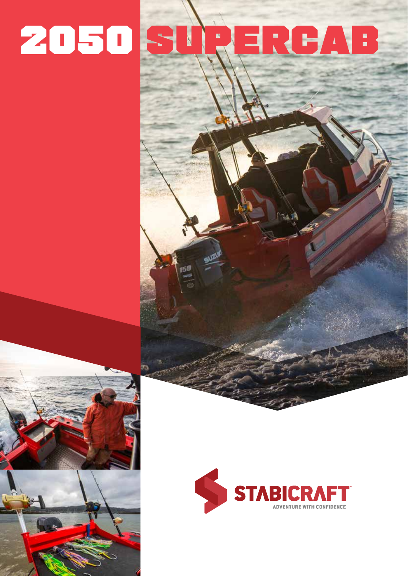# 20508 EREA  $\ddot{\phantom{a}}$ N